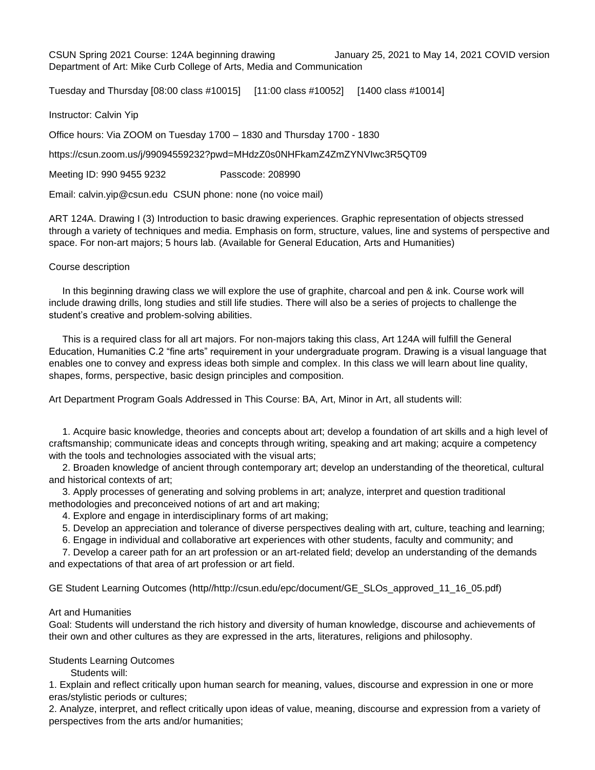CSUN Spring 2021 Course: 124A beginning drawing January 25, 2021 to May 14, 2021 COVID version Department of Art: Mike Curb College of Arts, Media and Communication

Tuesday and Thursday [08:00 class #10015] [11:00 class #10052] [1400 class #10014]

Instructor: Calvin Yip

Office hours: Via ZOOM on Tuesday 1700 – 1830 and Thursday 1700 - 1830

https://csun.zoom.us/j/99094559232?pwd=MHdzZ0s0NHFkamZ4ZmZYNVIwc3R5QT09

Meeting ID: 990 9455 9232 Passcode: 208990

Email: calvin.yip@csun.edu CSUN phone: none (no voice mail)

ART 124A. Drawing I (3) Introduction to basic drawing experiences. Graphic representation of objects stressed through a variety of techniques and media. Emphasis on form, structure, values, line and systems of perspective and space. For non-art majors; 5 hours lab. (Available for General Education, Arts and Humanities)

#### Course description

 In this beginning drawing class we will explore the use of graphite, charcoal and pen & ink. Course work will include drawing drills, long studies and still life studies. There will also be a series of projects to challenge the student's creative and problem-solving abilities.

 This is a required class for all art majors. For non-majors taking this class, Art 124A will fulfill the General Education, Humanities C.2 "fine arts" requirement in your undergraduate program. Drawing is a visual language that enables one to convey and express ideas both simple and complex. In this class we will learn about line quality, shapes, forms, perspective, basic design principles and composition.

Art Department Program Goals Addressed in This Course: BA, Art, Minor in Art, all students will:

 1. Acquire basic knowledge, theories and concepts about art; develop a foundation of art skills and a high level of craftsmanship; communicate ideas and concepts through writing, speaking and art making; acquire a competency with the tools and technologies associated with the visual arts;

 2. Broaden knowledge of ancient through contemporary art; develop an understanding of the theoretical, cultural and historical contexts of art;

 3. Apply processes of generating and solving problems in art; analyze, interpret and question traditional methodologies and preconceived notions of art and art making;

4. Explore and engage in interdisciplinary forms of art making;

5. Develop an appreciation and tolerance of diverse perspectives dealing with art, culture, teaching and learning;

6. Engage in individual and collaborative art experiences with other students, faculty and community; and

 7. Develop a career path for an art profession or an art-related field; develop an understanding of the demands and expectations of that area of art profession or art field.

GE Student Learning Outcomes (http//http://csun.edu/epc/document/GE\_SLOs\_approved\_11\_16\_05.pdf)

#### Art and Humanities

Goal: Students will understand the rich history and diversity of human knowledge, discourse and achievements of their own and other cultures as they are expressed in the arts, literatures, religions and philosophy.

#### Students Learning Outcomes

Students will:

1. Explain and reflect critically upon human search for meaning, values, discourse and expression in one or more eras/stylistic periods or cultures;

2. Analyze, interpret, and reflect critically upon ideas of value, meaning, discourse and expression from a variety of perspectives from the arts and/or humanities;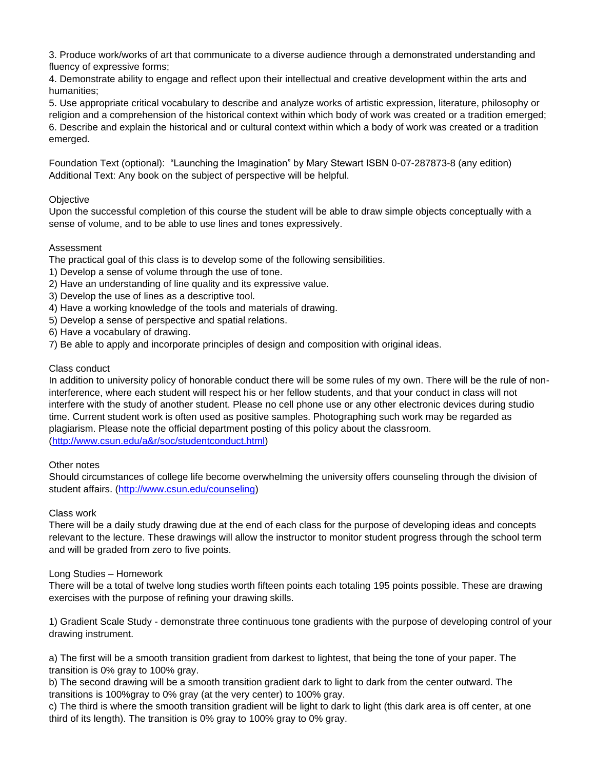3. Produce work/works of art that communicate to a diverse audience through a demonstrated understanding and fluency of expressive forms;

4. Demonstrate ability to engage and reflect upon their intellectual and creative development within the arts and humanities;

5. Use appropriate critical vocabulary to describe and analyze works of artistic expression, literature, philosophy or religion and a comprehension of the historical context within which body of work was created or a tradition emerged; 6. Describe and explain the historical and or cultural context within which a body of work was created or a tradition emerged.

Foundation Text (optional): "Launching the Imagination" by Mary Stewart ISBN 0-07-287873-8 (any edition) Additional Text: Any book on the subject of perspective will be helpful.

### **Objective**

Upon the successful completion of this course the student will be able to draw simple objects conceptually with a sense of volume, and to be able to use lines and tones expressively.

### Assessment

The practical goal of this class is to develop some of the following sensibilities.

- 1) Develop a sense of volume through the use of tone.
- 2) Have an understanding of line quality and its expressive value.
- 3) Develop the use of lines as a descriptive tool.
- 4) Have a working knowledge of the tools and materials of drawing.
- 5) Develop a sense of perspective and spatial relations.
- 6) Have a vocabulary of drawing.
- 7) Be able to apply and incorporate principles of design and composition with original ideas.

#### Class conduct

In addition to university policy of honorable conduct there will be some rules of my own. There will be the rule of noninterference, where each student will respect his or her fellow students, and that your conduct in class will not interfere with the study of another student. Please no cell phone use or any other electronic devices during studio time. Current student work is often used as positive samples. Photographing such work may be regarded as plagiarism. Please note the official department posting of this policy about the classroom. [\(http://www.csun.edu/a&r/soc/studentconduct.html\)](http://www.csun.edu/a&r/soc/studentconduct.html)

#### Other notes

Should circumstances of college life become overwhelming the university offers counseling through the division of student affairs. [\(http://www.csun.edu/counseling\)](http://www.csun.edu/counseling)

#### Class work

There will be a daily study drawing due at the end of each class for the purpose of developing ideas and concepts relevant to the lecture. These drawings will allow the instructor to monitor student progress through the school term and will be graded from zero to five points.

#### Long Studies – Homework

There will be a total of twelve long studies worth fifteen points each totaling 195 points possible. These are drawing exercises with the purpose of refining your drawing skills.

1) Gradient Scale Study - demonstrate three continuous tone gradients with the purpose of developing control of your drawing instrument.

a) The first will be a smooth transition gradient from darkest to lightest, that being the tone of your paper. The transition is 0% gray to 100% gray.

b) The second drawing will be a smooth transition gradient dark to light to dark from the center outward. The transitions is 100%gray to 0% gray (at the very center) to 100% gray.

c) The third is where the smooth transition gradient will be light to dark to light (this dark area is off center, at one third of its length). The transition is 0% gray to 100% gray to 0% gray.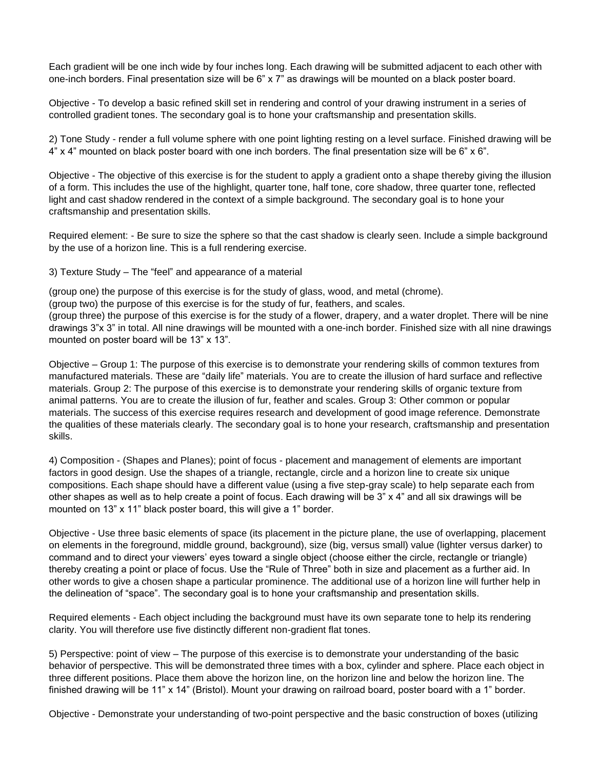Each gradient will be one inch wide by four inches long. Each drawing will be submitted adjacent to each other with one-inch borders. Final presentation size will be 6" x 7" as drawings will be mounted on a black poster board.

Objective - To develop a basic refined skill set in rendering and control of your drawing instrument in a series of controlled gradient tones. The secondary goal is to hone your craftsmanship and presentation skills.

2) Tone Study - render a full volume sphere with one point lighting resting on a level surface. Finished drawing will be  $4"$  x  $4"$  mounted on black poster board with one inch borders. The final presentation size will be 6" x 6".

Objective - The objective of this exercise is for the student to apply a gradient onto a shape thereby giving the illusion of a form. This includes the use of the highlight, quarter tone, half tone, core shadow, three quarter tone, reflected light and cast shadow rendered in the context of a simple background. The secondary goal is to hone your craftsmanship and presentation skills.

Required element: - Be sure to size the sphere so that the cast shadow is clearly seen. Include a simple background by the use of a horizon line. This is a full rendering exercise.

3) Texture Study – The "feel" and appearance of a material

(group one) the purpose of this exercise is for the study of glass, wood, and metal (chrome).

(group two) the purpose of this exercise is for the study of fur, feathers, and scales.

(group three) the purpose of this exercise is for the study of a flower, drapery, and a water droplet. There will be nine drawings 3"x 3" in total. All nine drawings will be mounted with a one-inch border. Finished size with all nine drawings mounted on poster board will be 13" x 13".

Objective – Group 1: The purpose of this exercise is to demonstrate your rendering skills of common textures from manufactured materials. These are "daily life" materials. You are to create the illusion of hard surface and reflective materials. Group 2: The purpose of this exercise is to demonstrate your rendering skills of organic texture from animal patterns. You are to create the illusion of fur, feather and scales. Group 3: Other common or popular materials. The success of this exercise requires research and development of good image reference. Demonstrate the qualities of these materials clearly. The secondary goal is to hone your research, craftsmanship and presentation skills.

4) Composition - (Shapes and Planes); point of focus - placement and management of elements are important factors in good design. Use the shapes of a triangle, rectangle, circle and a horizon line to create six unique compositions. Each shape should have a different value (using a five step-gray scale) to help separate each from other shapes as well as to help create a point of focus. Each drawing will be 3" x 4" and all six drawings will be mounted on 13" x 11" black poster board, this will give a 1" border.

Objective - Use three basic elements of space (its placement in the picture plane, the use of overlapping, placement on elements in the foreground, middle ground, background), size (big, versus small) value (lighter versus darker) to command and to direct your viewers' eyes toward a single object (choose either the circle, rectangle or triangle) thereby creating a point or place of focus. Use the "Rule of Three" both in size and placement as a further aid. In other words to give a chosen shape a particular prominence. The additional use of a horizon line will further help in the delineation of "space". The secondary goal is to hone your craftsmanship and presentation skills.

Required elements - Each object including the background must have its own separate tone to help its rendering clarity. You will therefore use five distinctly different non-gradient flat tones.

5) Perspective: point of view – The purpose of this exercise is to demonstrate your understanding of the basic behavior of perspective. This will be demonstrated three times with a box, cylinder and sphere. Place each object in three different positions. Place them above the horizon line, on the horizon line and below the horizon line. The finished drawing will be 11" x 14" (Bristol). Mount your drawing on railroad board, poster board with a 1" border.

Objective - Demonstrate your understanding of two-point perspective and the basic construction of boxes (utilizing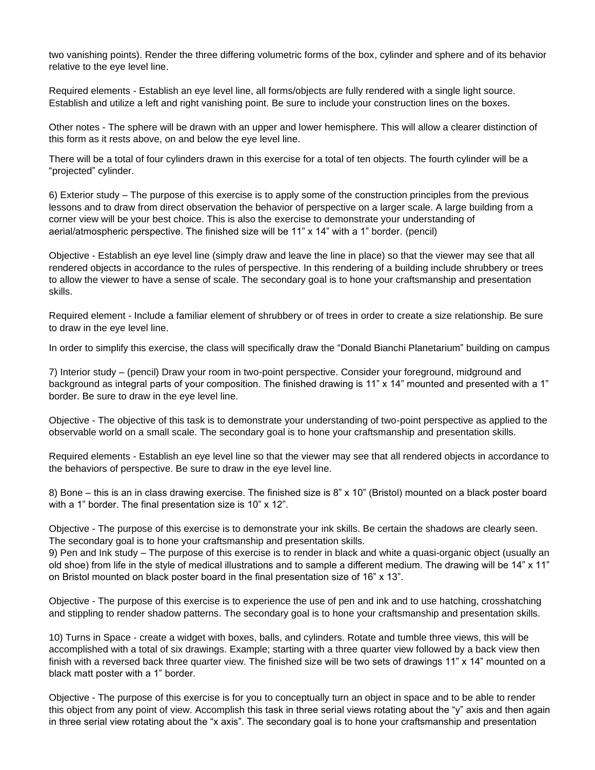two vanishing points). Render the three differing volumetric forms of the box, cylinder and sphere and of its behavior relative to the eye level line.

Required elements - Establish an eye level line, all forms/objects are fully rendered with a single light source. Establish and utilize a left and right vanishing point. Be sure to include your construction lines on the boxes.

Other notes - The sphere will be drawn with an upper and lower hemisphere. This will allow a clearer distinction of this form as it rests above, on and below the eye level line.

There will be a total of four cylinders drawn in this exercise for a total of ten objects. The fourth cylinder will be a "projected" cylinder.

6) Exterior study – The purpose of this exercise is to apply some of the construction principles from the previous lessons and to draw from direct observation the behavior of perspective on a larger scale. A large building from a corner view will be your best choice. This is also the exercise to demonstrate your understanding of aerial/atmospheric perspective. The finished size will be 11" x 14" with a 1" border. (pencil)

Objective - Establish an eye level line (simply draw and leave the line in place) so that the viewer may see that all rendered objects in accordance to the rules of perspective. In this rendering of a building include shrubbery or trees to allow the viewer to have a sense of scale. The secondary goal is to hone your craftsmanship and presentation skills.

Required element - Include a familiar element of shrubbery or of trees in order to create a size relationship. Be sure to draw in the eye level line.

In order to simplify this exercise, the class will specifically draw the "Donald Bianchi Planetarium" building on campus

7) Interior study – (pencil) Draw your room in two-point perspective. Consider your foreground, midground and background as integral parts of your composition. The finished drawing is 11" x 14" mounted and presented with a 1" border. Be sure to draw in the eye level line.

Objective - The objective of this task is to demonstrate your understanding of two-point perspective as applied to the observable world on a small scale. The secondary goal is to hone your craftsmanship and presentation skills.

Required elements - Establish an eye level line so that the viewer may see that all rendered objects in accordance to the behaviors of perspective. Be sure to draw in the eye level line.

8) Bone – this is an in class drawing exercise. The finished size is 8" x 10" (Bristol) mounted on a black poster board with a 1" border. The final presentation size is 10" x 12".

Objective - The purpose of this exercise is to demonstrate your ink skills. Be certain the shadows are clearly seen. The secondary goal is to hone your craftsmanship and presentation skills.

9) Pen and Ink study – The purpose of this exercise is to render in black and white a quasi-organic object (usually an old shoe) from life in the style of medical illustrations and to sample a different medium. The drawing will be 14" x 11" on Bristol mounted on black poster board in the final presentation size of 16" x 13".

Objective - The purpose of this exercise is to experience the use of pen and ink and to use hatching, crosshatching and stippling to render shadow patterns. The secondary goal is to hone your craftsmanship and presentation skills.

10) Turns in Space - create a widget with boxes, balls, and cylinders. Rotate and tumble three views, this will be accomplished with a total of six drawings. Example; starting with a three quarter view followed by a back view then finish with a reversed back three quarter view. The finished size will be two sets of drawings 11" x 14" mounted on a black matt poster with a 1" border.

Objective - The purpose of this exercise is for you to conceptually turn an object in space and to be able to render this object from any point of view. Accomplish this task in three serial views rotating about the "y" axis and then again in three serial view rotating about the "x axis". The secondary goal is to hone your craftsmanship and presentation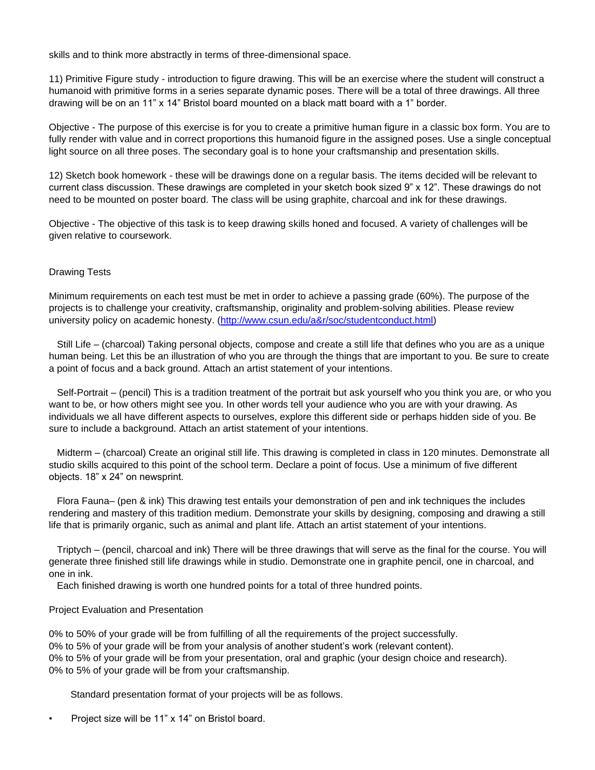skills and to think more abstractly in terms of three-dimensional space.

11) Primitive Figure study - introduction to figure drawing. This will be an exercise where the student will construct a humanoid with primitive forms in a series separate dynamic poses. There will be a total of three drawings. All three drawing will be on an 11" x 14" Bristol board mounted on a black matt board with a 1" border.

Objective - The purpose of this exercise is for you to create a primitive human figure in a classic box form. You are to fully render with value and in correct proportions this humanoid figure in the assigned poses. Use a single conceptual light source on all three poses. The secondary goal is to hone your craftsmanship and presentation skills.

12) Sketch book homework - these will be drawings done on a regular basis. The items decided will be relevant to current class discussion. These drawings are completed in your sketch book sized 9" x 12". These drawings do not need to be mounted on poster board. The class will be using graphite, charcoal and ink for these drawings.

Objective - The objective of this task is to keep drawing skills honed and focused. A variety of challenges will be given relative to coursework.

### Drawing Tests

Minimum requirements on each test must be met in order to achieve a passing grade (60%). The purpose of the projects is to challenge your creativity, craftsmanship, originality and problem-solving abilities. Please review university policy on academic honesty. [\(http://www.csun.edu/a&r/soc/studentconduct.html\)](http://www.csun.edu/a&r/soc/studentconduct.html)

 Still Life – (charcoal) Taking personal objects, compose and create a still life that defines who you are as a unique human being. Let this be an illustration of who you are through the things that are important to you. Be sure to create a point of focus and a back ground. Attach an artist statement of your intentions.

 Self-Portrait – (pencil) This is a tradition treatment of the portrait but ask yourself who you think you are, or who you want to be, or how others might see you. In other words tell your audience who you are with your drawing. As individuals we all have different aspects to ourselves, explore this different side or perhaps hidden side of you. Be sure to include a background. Attach an artist statement of your intentions.

 Midterm – (charcoal) Create an original still life. This drawing is completed in class in 120 minutes. Demonstrate all studio skills acquired to this point of the school term. Declare a point of focus. Use a minimum of five different objects. 18" x 24" on newsprint.

 Flora Fauna– (pen & ink) This drawing test entails your demonstration of pen and ink techniques the includes rendering and mastery of this tradition medium. Demonstrate your skills by designing, composing and drawing a still life that is primarily organic, such as animal and plant life. Attach an artist statement of your intentions.

 Triptych – (pencil, charcoal and ink) There will be three drawings that will serve as the final for the course. You will generate three finished still life drawings while in studio. Demonstrate one in graphite pencil, one in charcoal, and one in ink.

Each finished drawing is worth one hundred points for a total of three hundred points.

#### Project Evaluation and Presentation

0% to 50% of your grade will be from fulfilling of all the requirements of the project successfully. 0% to 5% of your grade will be from your analysis of another student's work (relevant content). 0% to 5% of your grade will be from your presentation, oral and graphic (your design choice and research). 0% to 5% of your grade will be from your craftsmanship.

Standard presentation format of your projects will be as follows.

• Project size will be 11" x 14" on Bristol board.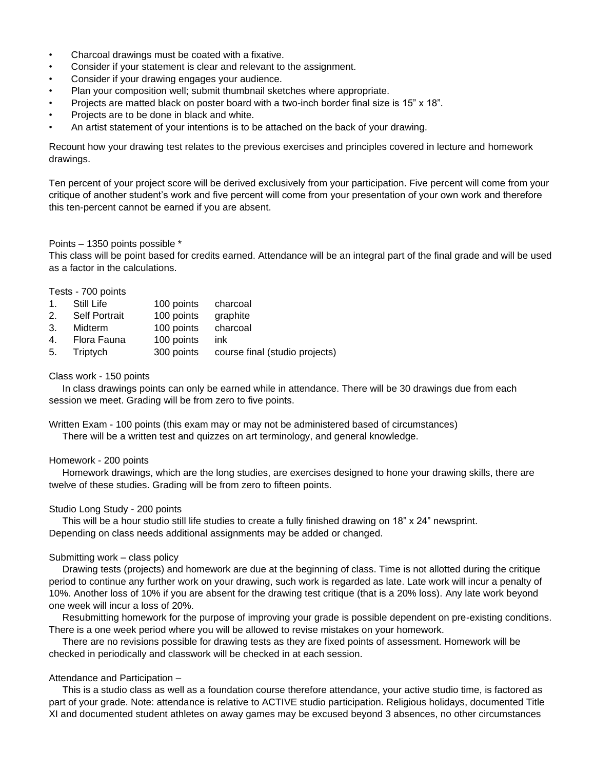- Charcoal drawings must be coated with a fixative.
- Consider if your statement is clear and relevant to the assignment.
- Consider if your drawing engages your audience.
- Plan your composition well; submit thumbnail sketches where appropriate.
- Projects are matted black on poster board with a two-inch border final size is 15" x 18".
- Projects are to be done in black and white.
- An artist statement of your intentions is to be attached on the back of your drawing.

Recount how your drawing test relates to the previous exercises and principles covered in lecture and homework drawings.

Ten percent of your project score will be derived exclusively from your participation. Five percent will come from your critique of another student's work and five percent will come from your presentation of your own work and therefore this ten-percent cannot be earned if you are absent.

#### Points – 1350 points possible \*

This class will be point based for credits earned. Attendance will be an integral part of the final grade and will be used as a factor in the calculations.

Tests - 700 points

- 1. Still Life 100 points charcoal
- 2. Self Portrait 100 points graphite
- 3. Midterm 100 points charcoal
- 4. Flora Fauna 100 points ink
- 5. Triptych 300 points course final (studio projects)

#### Class work - 150 points

 In class drawings points can only be earned while in attendance. There will be 30 drawings due from each session we meet. Grading will be from zero to five points.

Written Exam - 100 points (this exam may or may not be administered based of circumstances) There will be a written test and quizzes on art terminology, and general knowledge.

#### Homework - 200 points

 Homework drawings, which are the long studies, are exercises designed to hone your drawing skills, there are twelve of these studies. Grading will be from zero to fifteen points.

#### Studio Long Study - 200 points

 This will be a hour studio still life studies to create a fully finished drawing on 18" x 24" newsprint. Depending on class needs additional assignments may be added or changed.

#### Submitting work – class policy

 Drawing tests (projects) and homework are due at the beginning of class. Time is not allotted during the critique period to continue any further work on your drawing, such work is regarded as late. Late work will incur a penalty of 10%. Another loss of 10% if you are absent for the drawing test critique (that is a 20% loss). Any late work beyond one week will incur a loss of 20%.

 Resubmitting homework for the purpose of improving your grade is possible dependent on pre-existing conditions. There is a one week period where you will be allowed to revise mistakes on your homework.

 There are no revisions possible for drawing tests as they are fixed points of assessment. Homework will be checked in periodically and classwork will be checked in at each session.

#### Attendance and Participation –

 This is a studio class as well as a foundation course therefore attendance, your active studio time, is factored as part of your grade. Note: attendance is relative to ACTIVE studio participation. Religious holidays, documented Title XI and documented student athletes on away games may be excused beyond 3 absences, no other circumstances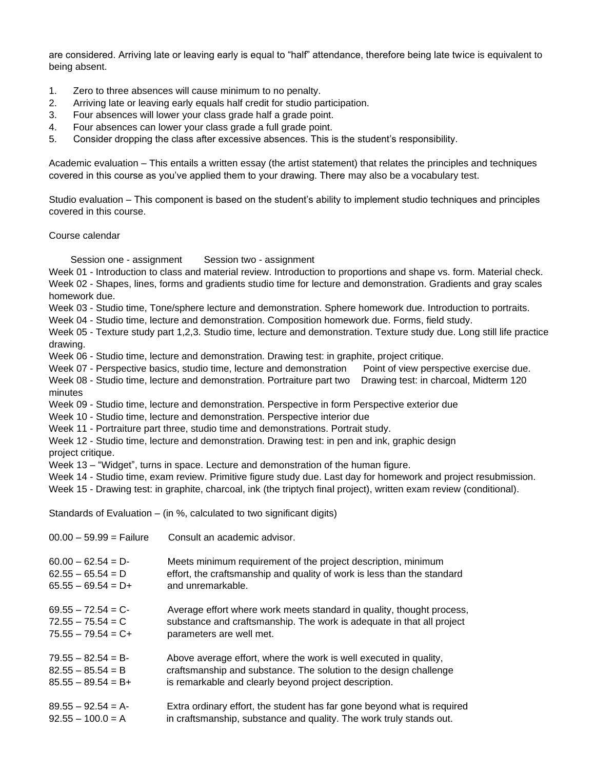are considered. Arriving late or leaving early is equal to "half" attendance, therefore being late twice is equivalent to being absent.

- 1. Zero to three absences will cause minimum to no penalty.
- 2. Arriving late or leaving early equals half credit for studio participation.
- 3. Four absences will lower your class grade half a grade point.
- 4. Four absences can lower your class grade a full grade point.
- 5. Consider dropping the class after excessive absences. This is the student's responsibility.

Academic evaluation – This entails a written essay (the artist statement) that relates the principles and techniques covered in this course as you've applied them to your drawing. There may also be a vocabulary test.

Studio evaluation – This component is based on the student's ability to implement studio techniques and principles covered in this course.

#### Course calendar

Session one - assignment Session two - assignment

Week 01 - Introduction to class and material review. Introduction to proportions and shape vs. form. Material check. Week 02 - Shapes, lines, forms and gradients studio time for lecture and demonstration. Gradients and gray scales homework due.

Week 03 - Studio time, Tone/sphere lecture and demonstration. Sphere homework due. Introduction to portraits.

Week 04 - Studio time, lecture and demonstration. Composition homework due. Forms, field study.

Week 05 - Texture study part 1,2,3. Studio time, lecture and demonstration. Texture study due. Long still life practice drawing.

Week 06 - Studio time, lecture and demonstration. Drawing test: in graphite, project critique.

Week 07 - Perspective basics, studio time, lecture and demonstration Point of view perspective exercise due.

Week 08 - Studio time, lecture and demonstration. Portraiture part two Drawing test: in charcoal, Midterm 120 minutes

Week 09 - Studio time, lecture and demonstration. Perspective in form Perspective exterior due

- Week 10 Studio time, lecture and demonstration. Perspective interior due
- Week 11 Portraiture part three, studio time and demonstrations. Portrait study.
- Week 12 Studio time, lecture and demonstration. Drawing test: in pen and ink, graphic design project critique.

Week 13 – "Widget", turns in space. Lecture and demonstration of the human figure.

Week 14 - Studio time, exam review. Primitive figure study due. Last day for homework and project resubmission.

Week 15 - Drawing test: in graphite, charcoal, ink (the triptych final project), written exam review (conditional).

Standards of Evaluation – (in %, calculated to two significant digits)

| $00.00 - 59.99 =$ Failure | Consult an academic advisor.                                            |
|---------------------------|-------------------------------------------------------------------------|
| $60.00 - 62.54 = D$       | Meets minimum requirement of the project description, minimum           |
| $62.55 - 65.54 = D$       | effort, the craftsmanship and quality of work is less than the standard |
| $65.55 - 69.54 = D+$      | and unremarkable.                                                       |
| $69.55 - 72.54 = C$       | Average effort where work meets standard in quality, thought process,   |
| $72.55 - 75.54 = C$       | substance and craftsmanship. The work is adequate in that all project   |
| $75.55 - 79.54 = C +$     | parameters are well met.                                                |
| $79.55 - 82.54 = B$       | Above average effort, where the work is well executed in quality,       |
| $82.55 - 85.54 = B$       | craftsmanship and substance. The solution to the design challenge       |
| $85.55 - 89.54 = B+$      | is remarkable and clearly beyond project description.                   |
| $89.55 - 92.54 = A$       | Extra ordinary effort, the student has far gone beyond what is required |
| $92.55 - 100.0 = A$       | in craftsmanship, substance and quality. The work truly stands out.     |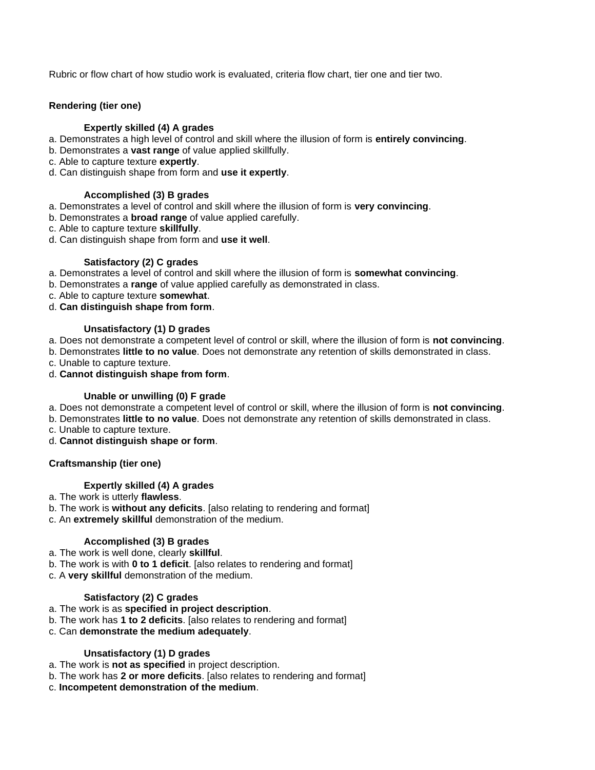Rubric or flow chart of how studio work is evaluated, criteria flow chart, tier one and tier two.

### **Rendering (tier one)**

## **Expertly skilled (4) A grades**

- a. Demonstrates a high level of control and skill where the illusion of form is **entirely convincing**.
- b. Demonstrates a **vast range** of value applied skillfully.
- c. Able to capture texture **expertly**.
- d. Can distinguish shape from form and **use it expertly**.

### **Accomplished (3) B grades**

- a. Demonstrates a level of control and skill where the illusion of form is **very convincing**.
- b. Demonstrates a **broad range** of value applied carefully.
- c. Able to capture texture **skillfully**.
- d. Can distinguish shape from form and **use it well**.

## **Satisfactory (2) C grades**

- a. Demonstrates a level of control and skill where the illusion of form is **somewhat convincing**.
- b. Demonstrates a **range** of value applied carefully as demonstrated in class.
- c. Able to capture texture **somewhat**.

d. **Can distinguish shape from form**.

### **Unsatisfactory (1) D grades**

a. Does not demonstrate a competent level of control or skill, where the illusion of form is **not convincing**.

- b. Demonstrates **little to no value**. Does not demonstrate any retention of skills demonstrated in class.
- c. Unable to capture texture.
- d. **Cannot distinguish shape from form**.

## **Unable or unwilling (0) F grade**

- a. Does not demonstrate a competent level of control or skill, where the illusion of form is **not convincing**.
- b. Demonstrates **little to no value**. Does not demonstrate any retention of skills demonstrated in class.
- c. Unable to capture texture.
- d. **Cannot distinguish shape or form**.

## **Craftsmanship (tier one)**

# **Expertly skilled (4) A grades**

- a. The work is utterly **flawless**.
- b. The work is **without any deficits**. [also relating to rendering and format]
- c. An **extremely skillful** demonstration of the medium.

## **Accomplished (3) B grades**

- a. The work is well done, clearly **skillful**.
- b. The work is with **0 to 1 deficit**. [also relates to rendering and format]
- c. A **very skillful** demonstration of the medium.

## **Satisfactory (2) C grades**

- a. The work is as **specified in project description**.
- b. The work has **1 to 2 deficits**. [also relates to rendering and format]
- c. Can **demonstrate the medium adequately**.

#### **Unsatisfactory (1) D grades**

- a. The work is **not as specified** in project description.
- b. The work has **2 or more deficits**. [also relates to rendering and format]
- c. **Incompetent demonstration of the medium**.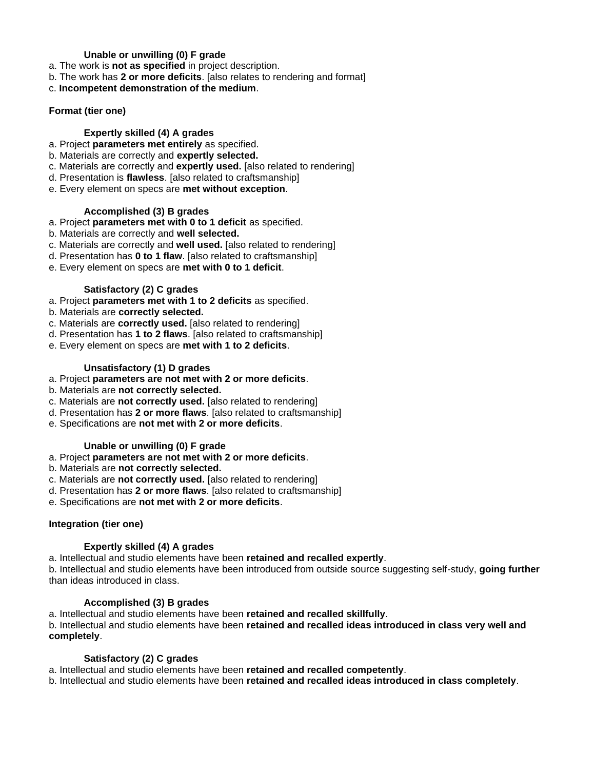## **Unable or unwilling (0) F grade**

- a. The work is **not as specified** in project description.
- b. The work has **2 or more deficits**. [also relates to rendering and format]
- c. **Incompetent demonstration of the medium**.

# **Format (tier one)**

# **Expertly skilled (4) A grades**

- a. Project **parameters met entirely** as specified.
- b. Materials are correctly and **expertly selected.**
- c. Materials are correctly and **expertly used.** [also related to rendering]
- d. Presentation is **flawless**. [also related to craftsmanship]
- e. Every element on specs are **met without exception**.

## **Accomplished (3) B grades**

- a. Project **parameters met with 0 to 1 deficit** as specified.
- b. Materials are correctly and **well selected.**
- c. Materials are correctly and **well used.** [also related to rendering]
- d. Presentation has **0 to 1 flaw**. [also related to craftsmanship]
- e. Every element on specs are **met with 0 to 1 deficit**.

## **Satisfactory (2) C grades**

- a. Project **parameters met with 1 to 2 deficits** as specified.
- b. Materials are **correctly selected.**
- c. Materials are **correctly used.** [also related to rendering]
- d. Presentation has **1 to 2 flaws**. [also related to craftsmanship]
- e. Every element on specs are **met with 1 to 2 deficits**.

## **Unsatisfactory (1) D grades**

### a. Project **parameters are not met with 2 or more deficits**.

- b. Materials are **not correctly selected.**
- c. Materials are **not correctly used.** [also related to rendering]
- d. Presentation has **2 or more flaws**. [also related to craftsmanship]
- e. Specifications are **not met with 2 or more deficits**.

#### **Unable or unwilling (0) F grade**

- a. Project **parameters are not met with 2 or more deficits**.
- b. Materials are **not correctly selected.**
- c. Materials are **not correctly used.** [also related to rendering]
- d. Presentation has **2 or more flaws**. [also related to craftsmanship]
- e. Specifications are **not met with 2 or more deficits**.

## **Integration (tier one)**

## **Expertly skilled (4) A grades**

a. Intellectual and studio elements have been **retained and recalled expertly**.

b. Intellectual and studio elements have been introduced from outside source suggesting self-study, **going further** than ideas introduced in class.

## **Accomplished (3) B grades**

a. Intellectual and studio elements have been **retained and recalled skillfully**.

b. Intellectual and studio elements have been **retained and recalled ideas introduced in class very well and completely**.

## **Satisfactory (2) C grades**

a. Intellectual and studio elements have been **retained and recalled competently**.

b. Intellectual and studio elements have been **retained and recalled ideas introduced in class completely**.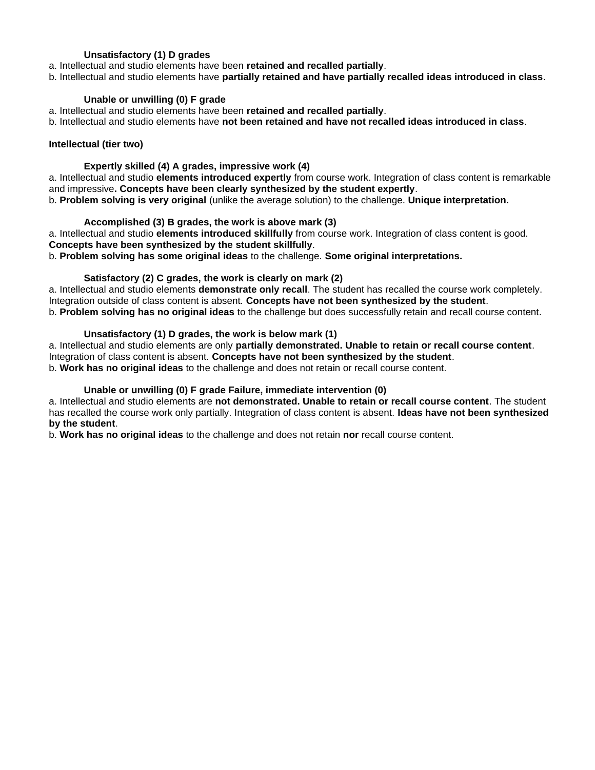### **Unsatisfactory (1) D grades**

- a. Intellectual and studio elements have been **retained and recalled partially**.
- b. Intellectual and studio elements have **partially retained and have partially recalled ideas introduced in class**.

### **Unable or unwilling (0) F grade**

- a. Intellectual and studio elements have been **retained and recalled partially**.
- b. Intellectual and studio elements have **not been retained and have not recalled ideas introduced in class**.

### **Intellectual (tier two)**

### **Expertly skilled (4) A grades, impressive work (4)**

a. Intellectual and studio **elements introduced expertly** from course work. Integration of class content is remarkable and impressive**. Concepts have been clearly synthesized by the student expertly**.

b. **Problem solving is very original** (unlike the average solution) to the challenge. **Unique interpretation.**

### **Accomplished (3) B grades, the work is above mark (3)**

a. Intellectual and studio **elements introduced skillfully** from course work. Integration of class content is good. **Concepts have been synthesized by the student skillfully**.

b. **Problem solving has some original ideas** to the challenge. **Some original interpretations.**

### **Satisfactory (2) C grades, the work is clearly on mark (2)**

a. Intellectual and studio elements **demonstrate only recall**. The student has recalled the course work completely. Integration outside of class content is absent. **Concepts have not been synthesized by the student**. b. **Problem solving has no original ideas** to the challenge but does successfully retain and recall course content.

### **Unsatisfactory (1) D grades, the work is below mark (1)**

a. Intellectual and studio elements are only **partially demonstrated. Unable to retain or recall course content**. Integration of class content is absent. **Concepts have not been synthesized by the student**. b. **Work has no original ideas** to the challenge and does not retain or recall course content.

### **Unable or unwilling (0) F grade Failure, immediate intervention (0)**

a. Intellectual and studio elements are **not demonstrated. Unable to retain or recall course content**. The student has recalled the course work only partially. Integration of class content is absent. **Ideas have not been synthesized by the student**.

b. **Work has no original ideas** to the challenge and does not retain **nor** recall course content.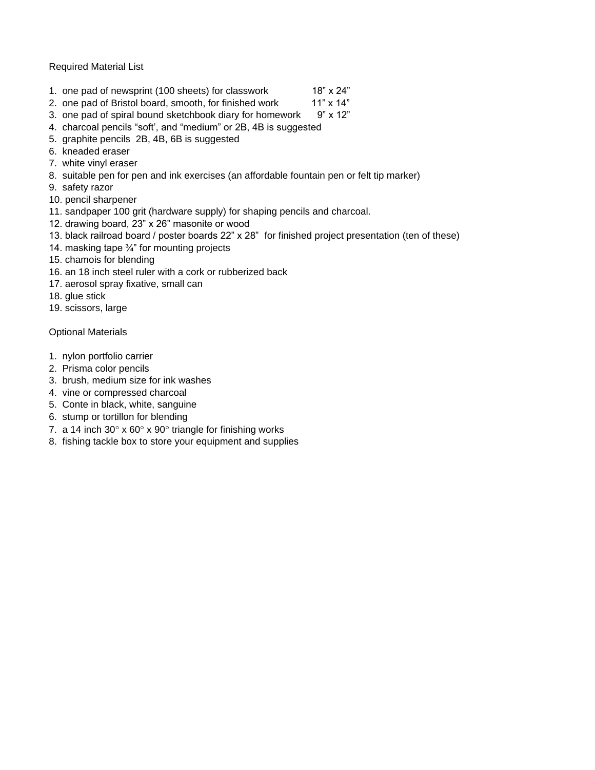Required Material List

- 1. one pad of newsprint (100 sheets) for classwork 18" x 24"
- 2. one pad of Bristol board, smooth, for finished work 11" x 14"
- 3. one pad of spiral bound sketchbook diary for homework 9" x 12"
- 4. charcoal pencils "soft', and "medium" or 2B, 4B is suggested
- 5. graphite pencils 2B, 4B, 6B is suggested
- 6. kneaded eraser
- 7. white vinyl eraser
- 8. suitable pen for pen and ink exercises (an affordable fountain pen or felt tip marker)
- 9. safety razor
- 10. pencil sharpener
- 11. sandpaper 100 grit (hardware supply) for shaping pencils and charcoal.
- 12. drawing board, 23" x 26" masonite or wood
- 13. black railroad board / poster boards 22" x 28" for finished project presentation (ten of these)
- 14. masking tape ¾" for mounting projects
- 15. chamois for blending
- 16. an 18 inch steel ruler with a cork or rubberized back
- 17. aerosol spray fixative, small can
- 18. glue stick
- 19. scissors, large

Optional Materials

- 1. nylon portfolio carrier
- 2. Prisma color pencils
- 3. brush, medium size for ink washes
- 4. vine or compressed charcoal
- 5. Conte in black, white, sanguine
- 6. stump or tortillon for blending
- 7. a 14 inch  $30^{\circ}$  x  $60^{\circ}$  x  $90^{\circ}$  triangle for finishing works
- 8. fishing tackle box to store your equipment and supplies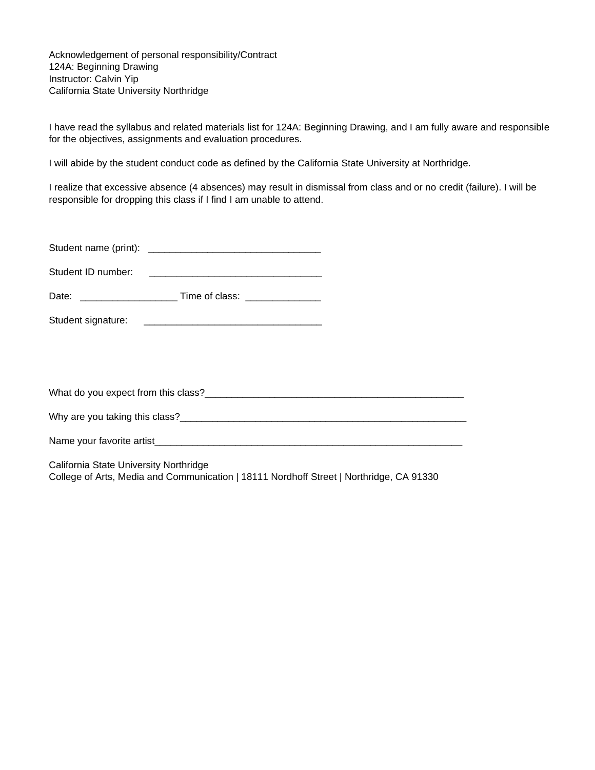Acknowledgement of personal responsibility/Contract 124A: Beginning Drawing Instructor: Calvin Yip California State University Northridge

I have read the syllabus and related materials list for 124A: Beginning Drawing, and I am fully aware and responsible for the objectives, assignments and evaluation procedures.

I will abide by the student conduct code as defined by the California State University at Northridge.

I realize that excessive absence (4 absences) may result in dismissal from class and or no credit (failure). I will be responsible for dropping this class if I find I am unable to attend.

| Student name (print): |  |
|-----------------------|--|
|-----------------------|--|

Student ID number: \_\_\_\_\_\_\_\_\_\_\_\_\_\_\_\_\_\_\_\_\_\_\_\_\_\_\_\_\_\_\_\_

Date: \_\_\_\_\_\_\_\_\_\_\_\_\_\_\_\_\_\_ Time of class: \_\_\_\_\_\_\_\_\_\_\_\_\_\_

What do you expect from this class?\_\_\_\_\_\_\_\_\_\_\_\_\_\_\_\_\_\_\_\_\_\_\_\_\_\_\_\_\_\_\_\_\_\_\_\_\_\_\_\_\_\_\_\_\_\_\_\_

Why are you taking this class?\_\_\_\_\_\_\_\_\_\_\_\_\_\_\_\_\_\_\_\_\_\_\_\_\_\_\_\_\_\_\_\_\_\_\_\_\_\_\_\_\_\_\_\_\_\_\_\_\_\_\_\_\_

Name your favorite artist

California State University Northridge

College of Arts, Media and Communication | 18111 Nordhoff Street | Northridge, CA 91330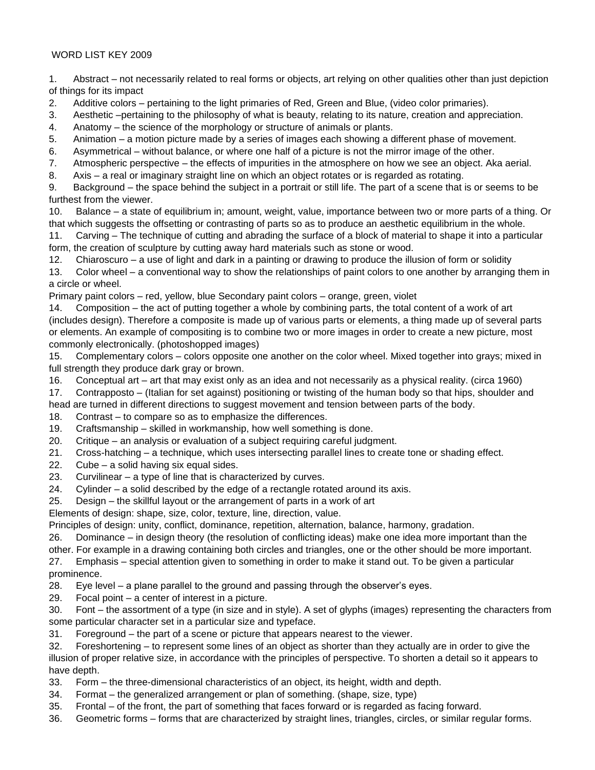### WORD LIST KEY 2009

1. Abstract – not necessarily related to real forms or objects, art relying on other qualities other than just depiction of things for its impact

- 2. Additive colors pertaining to the light primaries of Red, Green and Blue, (video color primaries).
- 3. Aesthetic –pertaining to the philosophy of what is beauty, relating to its nature, creation and appreciation.
- 4. Anatomy the science of the morphology or structure of animals or plants.
- 5. Animation a motion picture made by a series of images each showing a different phase of movement.
- 6. Asymmetrical without balance, or where one half of a picture is not the mirror image of the other.
- 7. Atmospheric perspective the effects of impurities in the atmosphere on how we see an object. Aka aerial.
- 8. Axis a real or imaginary straight line on which an object rotates or is regarded as rotating.

9. Background – the space behind the subject in a portrait or still life. The part of a scene that is or seems to be furthest from the viewer.

10. Balance – a state of equilibrium in; amount, weight, value, importance between two or more parts of a thing. Or that which suggests the offsetting or contrasting of parts so as to produce an aesthetic equilibrium in the whole.

11. Carving – The technique of cutting and abrading the surface of a block of material to shape it into a particular form, the creation of sculpture by cutting away hard materials such as stone or wood.

12. Chiaroscuro – a use of light and dark in a painting or drawing to produce the illusion of form or solidity

13. Color wheel – a conventional way to show the relationships of paint colors to one another by arranging them in a circle or wheel.

Primary paint colors – red, yellow, blue Secondary paint colors – orange, green, violet

14. Composition – the act of putting together a whole by combining parts, the total content of a work of art (includes design). Therefore a composite is made up of various parts or elements, a thing made up of several parts or elements. An example of compositing is to combine two or more images in order to create a new picture, most commonly electronically. (photoshopped images)

15. Complementary colors – colors opposite one another on the color wheel. Mixed together into grays; mixed in full strength they produce dark gray or brown.

- 16. Conceptual art art that may exist only as an idea and not necessarily as a physical reality. (circa 1960)
- 17. Contrapposto (Italian for set against) positioning or twisting of the human body so that hips, shoulder and head are turned in different directions to suggest movement and tension between parts of the body.
- 18. Contrast to compare so as to emphasize the differences.
- 19. Craftsmanship skilled in workmanship, how well something is done.
- 20. Critique an analysis or evaluation of a subject requiring careful judgment.
- 21. Cross-hatching a technique, which uses intersecting parallel lines to create tone or shading effect.
- 22. Cube a solid having six equal sides.
- 23. Curvilinear a type of line that is characterized by curves.
- 24. Cylinder a solid described by the edge of a rectangle rotated around its axis.
- 25. Design the skillful layout or the arrangement of parts in a work of art

Elements of design: shape, size, color, texture, line, direction, value.

Principles of design: unity, conflict, dominance, repetition, alternation, balance, harmony, gradation.

26. Dominance – in design theory (the resolution of conflicting ideas) make one idea more important than the other. For example in a drawing containing both circles and triangles, one or the other should be more important.

27. Emphasis – special attention given to something in order to make it stand out. To be given a particular prominence.

28. Eye level – a plane parallel to the ground and passing through the observer's eyes.

29. Focal point – a center of interest in a picture.

30. Font – the assortment of a type (in size and in style). A set of glyphs (images) representing the characters from some particular character set in a particular size and typeface.

31. Foreground – the part of a scene or picture that appears nearest to the viewer.

32. Foreshortening – to represent some lines of an object as shorter than they actually are in order to give the illusion of proper relative size, in accordance with the principles of perspective. To shorten a detail so it appears to have depth.

- 33. Form the three-dimensional characteristics of an object, its height, width and depth.
- 34. Format the generalized arrangement or plan of something. (shape, size, type)
- 35. Frontal of the front, the part of something that faces forward or is regarded as facing forward.
- 36. Geometric forms forms that are characterized by straight lines, triangles, circles, or similar regular forms.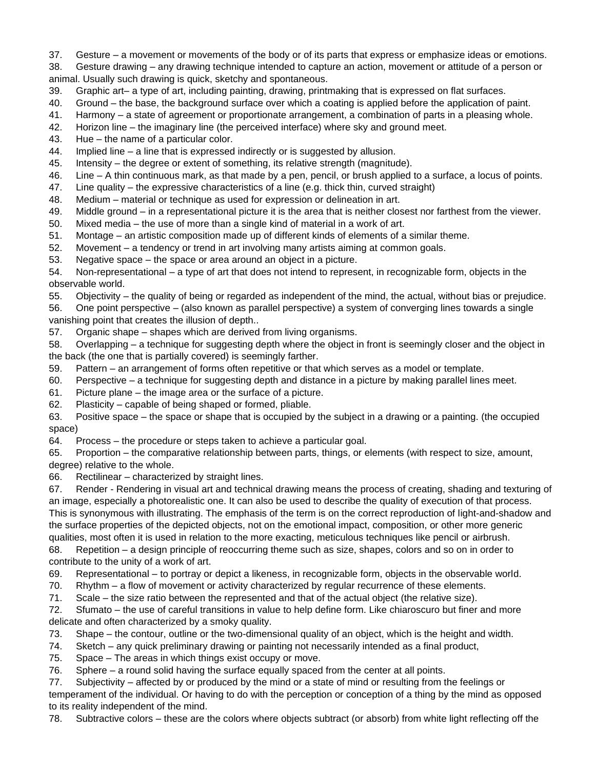37. Gesture – a movement or movements of the body or of its parts that express or emphasize ideas or emotions.

38. Gesture drawing – any drawing technique intended to capture an action, movement or attitude of a person or animal. Usually such drawing is quick, sketchy and spontaneous.

39. Graphic art– a type of art, including painting, drawing, printmaking that is expressed on flat surfaces.

- 40. Ground the base, the background surface over which a coating is applied before the application of paint.
- 41. Harmony a state of agreement or proportionate arrangement, a combination of parts in a pleasing whole.
- 42. Horizon line the imaginary line (the perceived interface) where sky and ground meet.
- 43. Hue the name of a particular color.
- 44. Implied line a line that is expressed indirectly or is suggested by allusion.
- 45. Intensity the degree or extent of something, its relative strength (magnitude).
- 46. Line A thin continuous mark, as that made by a pen, pencil, or brush applied to a surface, a locus of points.
- 47. Line quality the expressive characteristics of a line (e.g. thick thin, curved straight)
- 48. Medium material or technique as used for expression or delineation in art.
- 49. Middle ground in a representational picture it is the area that is neither closest nor farthest from the viewer.
- 50. Mixed media the use of more than a single kind of material in a work of art.
- 51. Montage an artistic composition made up of different kinds of elements of a similar theme.
- 52. Movement a tendency or trend in art involving many artists aiming at common goals.
- 53. Negative space the space or area around an object in a picture.

54. Non-representational – a type of art that does not intend to represent, in recognizable form, objects in the observable world.

55. Objectivity – the quality of being or regarded as independent of the mind, the actual, without bias or prejudice.

56. One point perspective – (also known as parallel perspective) a system of converging lines towards a single vanishing point that creates the illusion of depth..

57. Organic shape – shapes which are derived from living organisms.

58. Overlapping – a technique for suggesting depth where the object in front is seemingly closer and the object in the back (the one that is partially covered) is seemingly farther.

- 59. Pattern an arrangement of forms often repetitive or that which serves as a model or template.
- 60. Perspective a technique for suggesting depth and distance in a picture by making parallel lines meet.
- 61. Picture plane the image area or the surface of a picture.
- 62. Plasticity capable of being shaped or formed, pliable.

63. Positive space – the space or shape that is occupied by the subject in a drawing or a painting. (the occupied space)

64. Process – the procedure or steps taken to achieve a particular goal.

65. Proportion – the comparative relationship between parts, things, or elements (with respect to size, amount, degree) relative to the whole.

66. Rectilinear – characterized by straight lines.

67. Render - Rendering in visual art and technical drawing means the process of creating, shading and texturing of an image, especially a photorealistic one. It can also be used to describe the quality of execution of that process. This is synonymous with illustrating. The emphasis of the term is on the correct reproduction of light-and-shadow and the surface properties of the depicted objects, not on the emotional impact, composition, or other more generic qualities, most often it is used in relation to the more exacting, meticulous techniques like pencil or airbrush.

68. Repetition – a design principle of reoccurring theme such as size, shapes, colors and so on in order to contribute to the unity of a work of art.

69. Representational – to portray or depict a likeness, in recognizable form, objects in the observable world.

70. Rhythm – a flow of movement or activity characterized by regular recurrence of these elements.

71. Scale – the size ratio between the represented and that of the actual object (the relative size).

72. Sfumato – the use of careful transitions in value to help define form. Like chiaroscuro but finer and more delicate and often characterized by a smoky quality.

- 73. Shape the contour, outline or the two-dimensional quality of an object, which is the height and width.
- 74. Sketch any quick preliminary drawing or painting not necessarily intended as a final product,
- 75. Space The areas in which things exist occupy or move.
- 76. Sphere a round solid having the surface equally spaced from the center at all points.

77. Subjectivity – affected by or produced by the mind or a state of mind or resulting from the feelings or temperament of the individual. Or having to do with the perception or conception of a thing by the mind as opposed to its reality independent of the mind.

78. Subtractive colors – these are the colors where objects subtract (or absorb) from white light reflecting off the